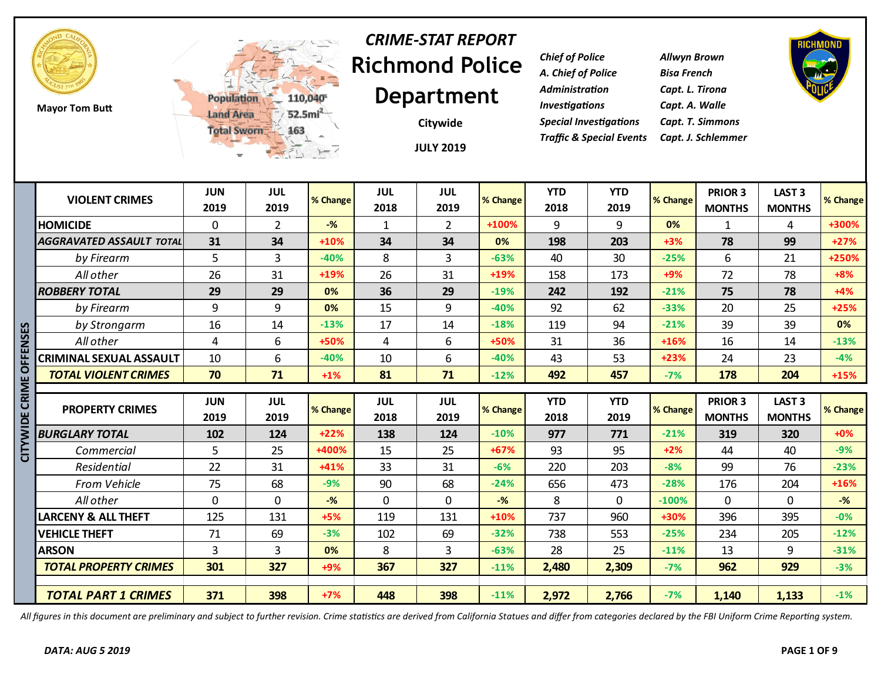

**Mayor Tom Butt**



# **Richmond Police Department** *CRIME-STAT REPORT*

**JULY 2019 Citywide**

*Chief of Police Allwyn Brown A. Chief of Police Bisa French Administration Capt. L. Tirona Investigations Capt. A. Walle Special Investigations Capt. T. Simmons Traffic & Special Events Capt. J. Schlemmer*



|                 |                                 | <b>W</b>           | 二元 1-7             |          |                    | <b>JULY 2019</b>   |                |                    |                    |          |                                 |                                    |          |
|-----------------|---------------------------------|--------------------|--------------------|----------|--------------------|--------------------|----------------|--------------------|--------------------|----------|---------------------------------|------------------------------------|----------|
|                 | <b>VIOLENT CRIMES</b>           | <b>JUN</b><br>2019 | <b>JUL</b><br>2019 | % Change | <b>JUL</b><br>2018 | <b>JUL</b><br>2019 | % Change       | <b>YTD</b><br>2018 | <b>YTD</b><br>2019 | % Change | PRIOR 3<br><b>MONTHS</b>        | <b>LAST 3</b><br><b>MONTHS</b>     | % Change |
|                 | <b>HOMICIDE</b>                 | 0                  | $\overline{2}$     | $-$ %    | $\mathbf{1}$       | $\overline{2}$     | +100%          | 9                  | 9                  | 0%       | 1                               | 4                                  | +300%    |
|                 | <b>AGGRAVATED ASSAULT TOTAL</b> | 31                 | 34                 | $+10%$   | 34                 | 34                 | 0%             | 198                | 203                | $+3%$    | 78                              | 99                                 | $+27%$   |
|                 | by Firearm                      | 5                  | $\overline{3}$     | $-40%$   | 8                  | 3                  | $-63%$         | 40                 | 30                 | $-25%$   | 6                               | 21                                 | +250%    |
|                 | All other                       | 26                 | 31                 | +19%     | 26                 | 31                 | +19%           | 158                | 173                | $+9%$    | 72                              | 78                                 | $+8%$    |
|                 | <b>ROBBERY TOTAL</b>            | 29                 | 29                 | 0%       | 36                 | 29                 | $-19%$         | 242                | 192                | $-21%$   | 75                              | 78                                 | $+4%$    |
|                 | by Firearm                      | 9                  | 9                  | 0%       | 15                 | 9                  | $-40%$         | 92                 | 62                 | $-33%$   | 20                              | 25                                 | $+25%$   |
|                 | by Strongarm                    | 16                 | 14                 | $-13%$   | 17                 | 14                 | $-18%$         | 119                | 94                 | $-21%$   | 39                              | 39                                 | 0%       |
|                 | All other                       | 4                  | 6                  | +50%     | 4                  | 6                  | +50%           | 31                 | 36                 | $+16%$   | 16                              | 14                                 | $-13%$   |
| <b>OFFENSES</b> | CRIMINAL SEXUAL ASSAULT         | 10                 | 6                  | $-40%$   | 10                 | 6                  | $-40%$         | 43                 | 53                 | $+23%$   | 24                              | 23                                 | $-4%$    |
|                 | <b>TOTAL VIOLENT CRIMES</b>     | 70                 | 71                 | $+1%$    | 81                 | 71                 | $-12%$         | 492                | 457                | $-7%$    | 178                             | 204                                | $+15%$   |
| CRIME           | <b>PROPERTY CRIMES</b>          | <b>JUN</b><br>2019 | <b>JUL</b><br>2019 | % Change | <b>JUL</b><br>2018 | <b>JUL</b><br>2019 | % Change       | <b>YTD</b><br>2018 | <b>YTD</b><br>2019 | % Change | <b>PRIOR 3</b><br><b>MONTHS</b> | LAST <sub>3</sub><br><b>MONTHS</b> | % Change |
| <b>CITYWIDE</b> | <b>BURGLARY TOTAL</b>           | 102                | 124                | $+22%$   | 138                | 124                | $-10%$         | 977                | 771                | $-21%$   | 319                             | 320                                | $+0%$    |
|                 | Commercial                      | 5                  | 25                 | +400%    | 15                 | 25                 | $+67%$         | 93                 | 95                 | $+2%$    | 44                              | 40                                 | $-9%$    |
|                 | Residential                     | 22                 | 31                 | $+41%$   | 33                 | 31                 | $-6%$          | 220                | 203                | $-8%$    | 99                              | 76                                 | $-23%$   |
|                 | From Vehicle                    | 75                 | 68                 | $-9%$    | 90                 | 68                 | $-24%$         | 656                | 473                | $-28%$   | 176                             | 204                                | $+16%$   |
|                 | All other                       | $\mathbf 0$        | $\mathbf 0$        | $-%$     | 0                  | $\mathbf{0}$       | $-\frac{9}{6}$ | 8                  | $\Omega$           | $-100%$  | $\mathbf{0}$                    | $\mathbf{0}$                       | $-%$     |
|                 | <b>LARCENY &amp; ALL THEFT</b>  | 125                | 131                | $+5%$    | 119                | 131                | $+10%$         | 737                | 960                | +30%     | 396                             | 395                                | $-0%$    |
|                 | <b>VEHICLE THEFT</b>            | 71                 | 69                 | $-3%$    | 102                | 69                 | $-32%$         | 738                | 553                | $-25%$   | 234                             | 205                                | $-12%$   |
|                 | <b>ARSON</b>                    | 3                  | 3                  | 0%       | 8                  | 3                  | $-63%$         | 28                 | 25                 | $-11%$   | 13                              | 9                                  | $-31%$   |
|                 | <b>TOTAL PROPERTY CRIMES</b>    | 301                | 327                | +9%      | 367                | 327                | $-11%$         | 2,480              | 2,309              | $-7%$    | 962                             | 929                                | $-3%$    |
|                 | <b>TOTAL PART 1 CRIMES</b>      | 371                | 398                | $+7%$    | 448                | 398                | $-11%$         | 2,972              | 2,766              | $-7%$    | 1,140                           | 1,133                              | $-1%$    |

*All figures in this document are preliminary and subject to further revision. Crime statistics are derived from California Statues and differ from categories declared by the FBI Uniform Crime Reporting system.*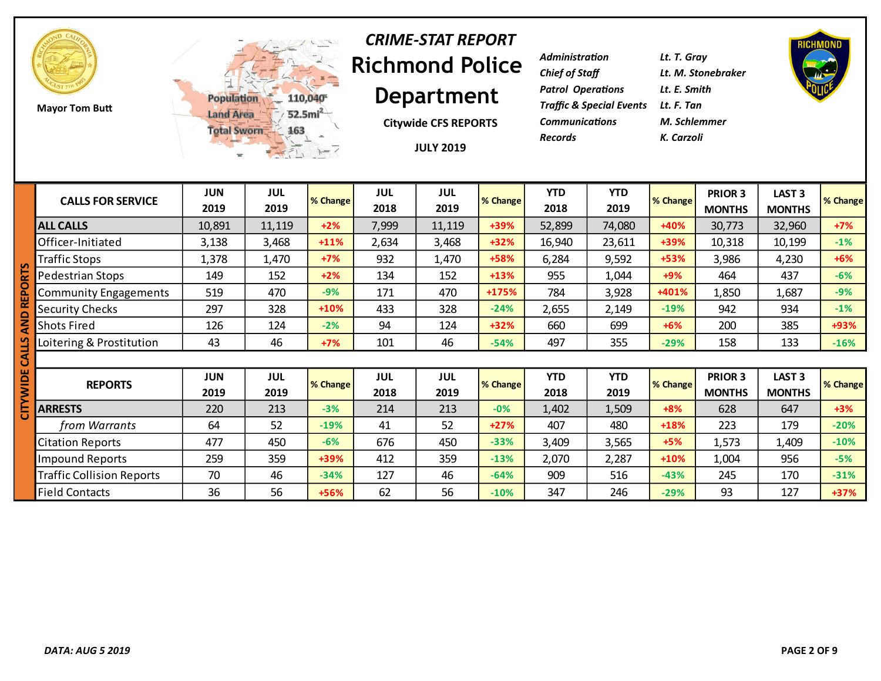

**Mayor Tom Butt**



### **Richmond Police Department** *CRIME-STAT REPORT*

**Citywide CFS REPORTS**

**JULY 2019**

| Lt. T. Gray                         |
|-------------------------------------|
| Lt. M. Stonebraker                  |
| Lt. E. Smith                        |
| Traffic & Special Events Lt. F. Tan |
| M. Schlemmer                        |
| K. Carzoli                          |
|                                     |



|   | <b>CALLS FOR SERVICE</b>         | <b>JUN</b><br>2019 | JUL<br>2019        | % Change | <b>JUL</b><br>2018 | <b>JUL</b><br>2019 | % Change | <b>YTD</b><br>2018 | <b>YTD</b><br>2019 | % Change | PRIOR 3<br><b>MONTHS</b> | LAST <sub>3</sub><br><b>MONTHS</b> | % Change |
|---|----------------------------------|--------------------|--------------------|----------|--------------------|--------------------|----------|--------------------|--------------------|----------|--------------------------|------------------------------------|----------|
|   | <b>ALL CALLS</b>                 | 10,891             | 11,119             | $+2%$    | 7,999              | 11,119             | +39%     | 52,899             | 74,080             | +40%     | 30,773                   | 32,960                             | $+7%$    |
|   | Officer-Initiated                | 3,138              | 3,468              | $+11%$   | 2,634              | 3,468              | $+32%$   | 16,940             | 23,611             | +39%     | 10,318                   | 10,199                             | $-1%$    |
| ഗ | <b>Traffic Stops</b>             | 1,378              | 1,470              | $+7%$    | 932                | 1,470              | +58%     | 6,284              | 9,592              | +53%     | 3,986                    | 4,230                              | $+6%$    |
|   | Pedestrian Stops                 | 149                | 152                | $+2%$    | 134                | 152                | $+13%$   | 955                | 1,044              | $+9%$    | 464                      | 437                                | $-6%$    |
|   | <b>Community Engagements</b>     | 519                | 470                | $-9%$    | 171                | 470                | +175%    | 784                | 3,928              | +401%    | 1,850                    | 1,687                              | $-9%$    |
|   | Security Checks                  | 297                | 328                | $+10%$   | 433                | 328                | $-24%$   | 2,655              | 2,149              | $-19%$   | 942                      | 934                                | $-1%$    |
|   | <b>Shots Fired</b>               | 126                | 124                | $-2%$    | 94                 | 124                | $+32%$   | 660                | 699                | $+6%$    | 200                      | 385                                | +93%     |
|   | Loitering & Prostitution         | 43                 | 46                 | $+7%$    | 101                | 46                 | $-54%$   | 497                | 355                | $-29%$   | 158                      | 133                                | $-16%$   |
|   |                                  |                    |                    |          |                    |                    |          |                    |                    |          |                          |                                    |          |
|   | <b>REPORTS</b>                   | <b>JUN</b><br>2019 | <b>JUL</b><br>2019 | % Change | <b>JUL</b><br>2018 | <b>JUL</b><br>2019 | % Change | <b>YTD</b><br>2018 | <b>YTD</b><br>2019 | % Change | PRIOR 3<br><b>MONTHS</b> | LAST <sub>3</sub><br><b>MONTHS</b> | % Change |
|   | <b>ARRESTS</b>                   | 220                | 213                | $-3%$    | 214                | 213                | $-0%$    | 1,402              | 1,509              | $+8%$    | 628                      | 647                                | $+3%$    |
|   | from Warrants                    | 64                 | 52                 | $-19%$   | 41                 | 52                 | $+27%$   | 407                | 480                | $+18%$   | 223                      | 179                                | $-20%$   |
|   | <b>Citation Reports</b>          | 477                | 450                | $-6%$    | 676                | 450                | $-33%$   | 3,409              | 3,565              | $+5%$    | 1,573                    | 1,409                              | $-10%$   |
|   | <b>Impound Reports</b>           | 259                | 359                | +39%     | 412                | 359                | $-13%$   | 2,070              | 2,287              | $+10%$   | 1,004                    | 956                                | $-5%$    |
|   | <b>Traffic Collision Reports</b> | 70                 | 46                 | $-34%$   | 127                | 46                 | $-64%$   | 909                | 516                | $-43%$   | 245                      | 170                                | $-31%$   |
|   | <b>Field Contacts</b>            | 36                 | 56                 | $+56%$   | 62                 | 56                 | $-10%$   | 347                | 246                | $-29%$   | 93                       | 127                                | $+37%$   |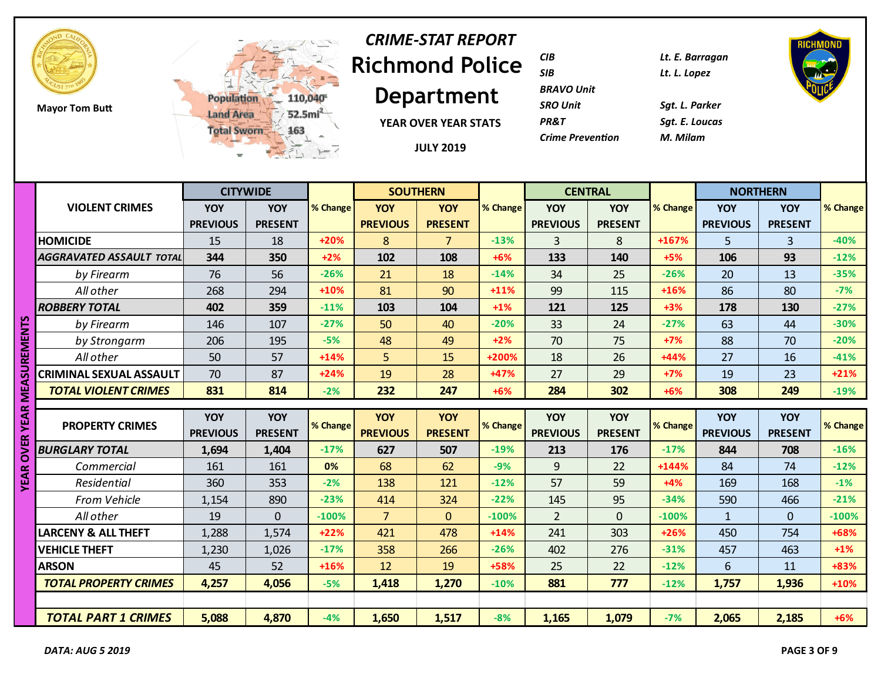

**Mayor Tom Butt**



# **Richmond Police**  *CRIME-STAT REPORT*

**Department**

**YEAR OVER YEAR STATS**

**JULY 2019**

| CIB                     | Lt. E. Barragan |
|-------------------------|-----------------|
| SIB                     | Lt. L. Lopez    |
| <b>BRAVO Unit</b>       |                 |
| <b>SRO Unit</b>         | Sat. L. Parker  |
| <b>PR&amp;T</b>         | Sat. E. Loucas  |
| <b>Crime Prevention</b> | M. Milam        |
|                         |                 |



|              |                                 |                 | <b>CITYWIDE</b> |          | <b>SOUTHERN</b> |                |          | <b>CENTRAL</b>  |                |          | <b>NORTHERN</b> |                |                    |
|--------------|---------------------------------|-----------------|-----------------|----------|-----------------|----------------|----------|-----------------|----------------|----------|-----------------|----------------|--------------------|
|              | <b>VIOLENT CRIMES</b>           | YOY             | YOY             | % Change | <b>YOY</b>      | YOY            | % Change | <b>YOY</b>      | <b>YOY</b>     | % Change | YOY             | <b>YOY</b>     | % Change           |
|              |                                 | <b>PREVIOUS</b> | <b>PRESENT</b>  |          | <b>PREVIOUS</b> | <b>PRESENT</b> |          | <b>PREVIOUS</b> | <b>PRESENT</b> |          | <b>PREVIOUS</b> | <b>PRESENT</b> |                    |
|              | <b>HOMICIDE</b>                 | 15              | 18              | $+20%$   | 8               | 7 <sup>1</sup> | $-13%$   | 3               | 8              | +167%    | 5               | $\overline{3}$ | $-40%$             |
|              | <b>AGGRAVATED ASSAULT TOTAL</b> | 344             | 350             | $+2%$    | 102             | 108            | $+6%$    | 133             | 140            | $+5%$    | 106             | 93             | $-12%$             |
|              | by Firearm                      | 76              | 56              | $-26%$   | 21              | 18             | $-14%$   | 34              | 25             | $-26%$   | 20              | 13             | $-35%$             |
|              | All other                       | 268             | 294             | $+10%$   | 81              | 90             | $+11%$   | 99              | 115            | $+16%$   | 86              | 80             | $-7%$              |
|              | <b>ROBBERY TOTAL</b>            | 402             | 359             | $-11%$   | 103             | 104            | $+1%$    | 121             | 125            | $+3%$    | 178             | 130            | $-27%$             |
|              | by Firearm                      | 146             | 107             | $-27%$   | 50              | 40             | $-20%$   | 33              | 24             | $-27%$   | 63              | 44             | $-30%$             |
|              | by Strongarm                    | 206             | 195             | $-5%$    | 48              | 49             | $+2%$    | 70              | 75             | $+7%$    | 88              | 70             | $-20%$             |
|              | All other                       | 50              | 57              | $+14%$   | 5               | 15             | +200%    | 18              | 26             | $+44%$   | 27              | 16             | $-41%$             |
|              | CRIMINAL SEXUAL ASSAULT         | 70              | 87              | $+24%$   | 19              | 28             | +47%     | 27              | 29             | $+7%$    | 19              | 23             | $+21%$             |
| MEASUREMENTS | <b>TOTAL VIOLENT CRIMES</b>     | 831             | 814             | $-2%$    | 232             | 247            | $+6%$    | 284             | 302            | $+6%$    | 308             | 249            | $-19%$             |
|              |                                 |                 |                 |          |                 |                |          |                 |                |          |                 |                |                    |
| <b>YEAR</b>  | <b>PROPERTY CRIMES</b>          | <b>YOY</b>      | YOY             |          | <b>YOY</b>      | <b>YOY</b>     |          | <b>YOY</b>      | <b>YOY</b>     |          | <b>YOY</b>      | <b>YOY</b>     |                    |
|              |                                 |                 |                 |          |                 |                |          |                 |                |          |                 |                |                    |
|              |                                 | <b>PREVIOUS</b> | <b>PRESENT</b>  | % Change | <b>PREVIOUS</b> | <b>PRESENT</b> | % Change | <b>PREVIOUS</b> | <b>PRESENT</b> | % Change | <b>PREVIOUS</b> | <b>PRESENT</b> |                    |
|              | <b>BURGLARY TOTAL</b>           | 1,694           | 1,404           | $-17%$   | 627             | 507            | $-19%$   | 213             | 176            | $-17%$   | 844             | 708            | $-16%$             |
| <b>OVER</b>  | Commercial                      | 161             | 161             | 0%       | 68              | 62             | $-9%$    | 9               | 22             | $+144%$  | 84              | 74             | $-12%$             |
| <b>YEAR</b>  | Residential                     | 360             | 353             | $-2%$    | 138             | 121            | $-12%$   | 57              | 59             | $+4%$    | 169             | 168            | $-1%$              |
|              | <b>From Vehicle</b>             | 1,154           | 890             | $-23%$   | 414             | 324            | $-22%$   | 145             | 95             | $-34%$   | 590             | 466            | % Change<br>$-21%$ |
|              | All other                       | 19              | $\overline{0}$  | $-100%$  | $\overline{7}$  | $\overline{0}$ | $-100%$  | $\overline{2}$  | $\overline{0}$ | $-100%$  | $\mathbf{1}$    | $\overline{0}$ | $-100%$            |
|              | <b>LARCENY &amp; ALL THEFT</b>  | 1,288           | 1,574           | $+22%$   | 421             | 478            | $+14%$   | 241             | 303            | $+26%$   | 450             | 754            | +68%               |
|              | <b>VEHICLE THEFT</b>            | 1,230           | 1,026           | $-17%$   | 358             | 266            | $-26%$   | 402             | 276            | $-31%$   | 457             | 463            | $+1%$              |
|              | <b>ARSON</b>                    | 45              | 52              | +16%     | 12              | 19             | +58%     | 25              | 22             | $-12%$   | 6               | 11             | +83%               |
|              | <b>TOTAL PROPERTY CRIMES</b>    | 4,257           | 4,056           | $-5%$    | 1,418           | 1,270          | $-10%$   | 881             | 777            | $-12%$   | 1,757           | 1,936          | $+10%$             |
|              |                                 |                 |                 |          |                 |                |          |                 |                |          |                 |                |                    |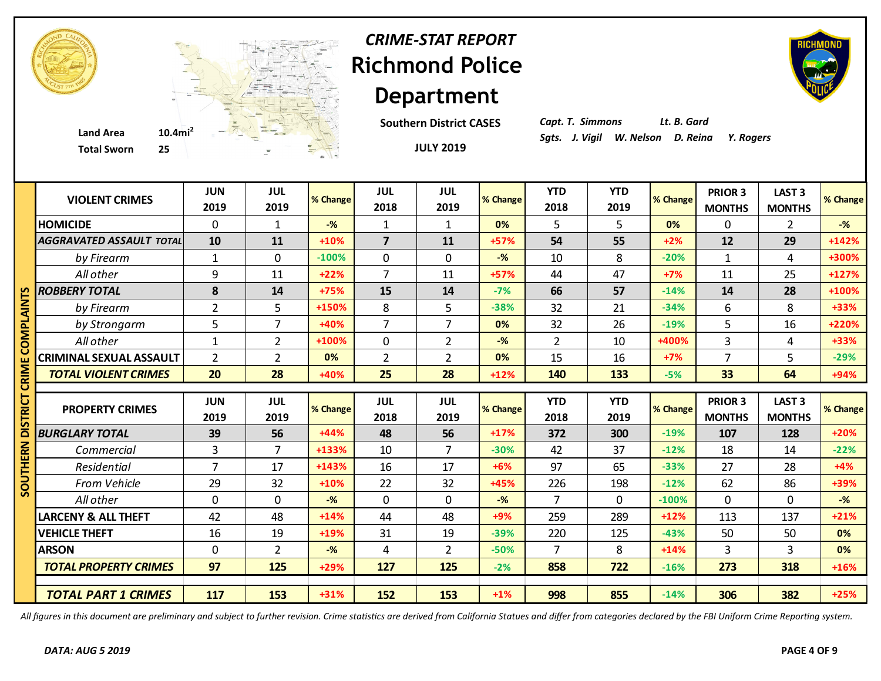

### **Richmond Police Department** *CRIME-STAT REPORT*

**Southern District CASES**

*Capt. T. Simmons Lt. B. Gard*

|        | <b>Total Sworn</b><br>25        |                    | $\overline{\phantom{a}}^{\tt w}$ |          |                         | <b>JULY 2019</b>   |                |                    |                    |          |                                 |                                |                    |
|--------|---------------------------------|--------------------|----------------------------------|----------|-------------------------|--------------------|----------------|--------------------|--------------------|----------|---------------------------------|--------------------------------|--------------------|
|        | <b>VIOLENT CRIMES</b>           | <b>JUN</b><br>2019 | <b>JUL</b><br>2019               | % Change | <b>JUL</b><br>2018      | <b>JUL</b><br>2019 | % Change       | <b>YTD</b><br>2018 | <b>YTD</b><br>2019 | % Change | PRIOR 3<br><b>MONTHS</b>        | <b>LAST 3</b><br><b>MONTHS</b> | % Change           |
|        | <b>HOMICIDE</b>                 | $\mathbf 0$        | $\mathbf{1}$                     | $-$ %    | 1                       | $\mathbf{1}$       | 0%             | 5                  | 5                  | 0%       | $\Omega$                        | $\overline{2}$                 | $-%$               |
|        | <b>AGGRAVATED ASSAULT TOTAL</b> | 10                 | 11                               | $+10%$   | $\overline{\mathbf{z}}$ | 11                 | +57%           | 54                 | 55                 | $+2%$    | 12                              | 29                             | $+142%$            |
|        | by Firearm                      | $\mathbf{1}$       | $\mathbf 0$                      | $-100%$  | $\mathbf 0$             | $\mathbf{0}$       | $-\frac{9}{6}$ | 10                 | 8                  | $-20%$   | $\mathbf{1}$                    | 4                              | +300%              |
|        | All other                       | 9                  | 11                               | $+22%$   | $\overline{7}$          | 11                 | $+57%$         | 44                 | 47                 | $+7%$    | 11                              | 25                             | $+127%$            |
| n      | <b>ROBBERY TOTAL</b>            | 8                  | 14                               | +75%     | 15                      | 14                 | $-7%$          | 66                 | 57                 | $-14%$   | 14                              | 28                             | +100%              |
| ΜΣ     | by Firearm                      | $\overline{2}$     | 5                                | +150%    | 8                       | 5                  | $-38%$         | 32                 | 21                 | $-34%$   | 6                               | 8                              | +33%               |
|        | by Strongarm                    | 5                  | 7                                | +40%     | $\overline{7}$          | $\overline{7}$     | 0%             | 32                 | 26                 | $-19%$   | 5                               | 16                             | +220%              |
| ≅<br>S | All other                       | $\mathbf{1}$       | $\overline{2}$                   | +100%    | $\mathbf 0$             | $\overline{2}$     | $-%$           | $\overline{2}$     | 10                 | +400%    | $\overline{3}$                  | 4                              | +33%               |
|        | <b>CRIMINAL SEXUAL ASSAULT</b>  | $\overline{2}$     | $\overline{2}$                   | 0%       | $\overline{2}$          | $\overline{2}$     | 0%             | 15                 | 16                 | $+7%$    | $\overline{7}$                  | 5                              | $-29%$             |
| CRIM   | <b>TOTAL VIOLENT CRIMES</b>     | 20                 | 28                               | +40%     | 25                      | 28                 | $+12%$         | 140                | 133                | $-5%$    | 33                              | 64                             | +94%               |
|        |                                 |                    |                                  |          |                         |                    |                |                    |                    |          |                                 |                                |                    |
|        |                                 |                    |                                  |          |                         |                    |                |                    |                    |          |                                 |                                |                    |
|        | <b>PROPERTY CRIMES</b>          | <b>JUN</b><br>2019 | <b>JUL</b><br>2019               | % Change | <b>JUL</b><br>2018      | <b>JUL</b><br>2019 | % Change       | <b>YTD</b><br>2018 | <b>YTD</b><br>2019 | % Change | <b>PRIOR 3</b><br><b>MONTHS</b> | <b>LAST 3</b><br><b>MONTHS</b> |                    |
|        | <b>BURGLARY TOTAL</b>           | 39                 | 56                               | $+44%$   | 48                      | 56                 | $+17%$         | 372                | 300                | $-19%$   | 107                             | 128                            | $+20%$             |
|        | Commercial                      | $\overline{3}$     | $\overline{7}$                   | +133%    | 10                      | $\overline{7}$     | $-30%$         | 42                 | 37                 | $-12%$   | 18                              | 14                             | $-22%$             |
|        | Residential                     | $\overline{7}$     | 17                               | $+143%$  | 16                      | 17                 | $+6%$          | 97                 | 65                 | $-33%$   | 27                              | 28                             | $+4%$              |
|        | From Vehicle                    | 29                 | 32                               | $+10%$   | 22                      | 32                 | +45%           | 226                | 198                | $-12%$   | 62                              | 86                             | +39%               |
| 2      | All other                       | $\mathbf 0$        | $\mathbf 0$                      | $-$ %    | $\mathbf 0$             | $\mathbf{0}$       | $-$ %          | $\overline{7}$     | $\overline{0}$     | $-100%$  | $\mathbf 0$                     | 0                              | $-$ %              |
|        | <b>LARCENY &amp; ALL THEFT</b>  | 42                 | 48                               | $+14%$   | 44                      | 48                 | +9%            | 259                | 289                | $+12%$   | 113                             | 137                            | $+21%$             |
|        | <b>VEHICLE THEFT</b>            | 16                 | 19                               | +19%     | 31                      | 19                 | $-39%$         | 220                | 125                | $-43%$   | 50                              | 50                             | 0%                 |
|        | <b>ARSON</b>                    | $\mathbf 0$        | $\overline{2}$                   | $-$ %    | 4                       | $\overline{2}$     | $-50%$         | $\overline{7}$     | 8                  | $+14%$   | $\overline{3}$                  | $\overline{3}$                 | 0%                 |
|        | <b>TOTAL PROPERTY CRIMES</b>    | 97                 | 125                              | +29%     | 127                     | 125                | $-2%$          | 858                | 722                | $-16%$   | 273                             | 318                            | $+16%$             |
|        | <b>TOTAL PART 1 CRIMES</b>      | 117                | 153                              | +31%     | 152                     | 153                | $+1%$          | 998                | 855                | $-14%$   | 306                             | 382                            | % Change<br>$+25%$ |

*All figures in this document are preliminary and subject to further revision. Crime statistics are derived from California Statues and differ from categories declared by the FBI Uniform Crime Reporting system.*



**JULY 2019**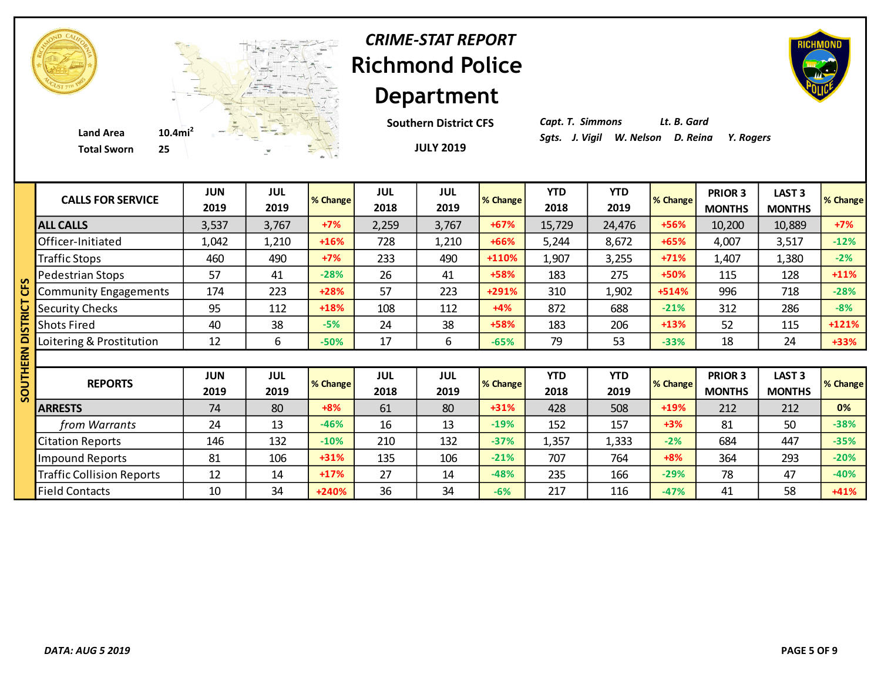

# **Richmond Police Department** *CRIME-STAT REPORT*

**JULY 2019 Southern District CFS**



*Capt. T. Simmons Lt. B. Gard*

| <b>CALLS FOR SERVICE</b>         | <b>JUN</b><br>2019 | <b>JUL</b><br>2019 | % Change | <b>JUL</b><br>2018 | <b>JUL</b><br>2019 | % Change | <b>YTD</b><br>2018 | <b>YTD</b><br>2019 | % Change | <b>PRIOR 3</b><br><b>MONTHS</b> | LAST <sub>3</sub><br><b>MONTHS</b> | % Change |
|----------------------------------|--------------------|--------------------|----------|--------------------|--------------------|----------|--------------------|--------------------|----------|---------------------------------|------------------------------------|----------|
| <b>ALL CALLS</b>                 | 3,537              | 3,767              | $+7%$    | 2,259              | 3,767              | $+67%$   | 15,729             | 24,476             | +56%     | 10,200                          | 10,889                             | $+7%$    |
| Officer-Initiated                | 1,042              | 1,210              | $+16%$   | 728                | 1,210              | $+66%$   | 5,244              | 8,672              | $+65%$   | 4,007                           | 3,517                              | $-12%$   |
| <b>Traffic Stops</b>             | 460                | 490                | $+7%$    | 233                | 490                | +110%    | 1,907              | 3,255              | $+71%$   | 1,407                           | 1,380                              | $-2%$    |
| Pedestrian Stops                 | 57                 | 41                 | $-28%$   | 26                 | 41                 | +58%     | 183                | 275                | +50%     | 115                             | 128                                | $+11%$   |
| <b>Community Engagements</b>     | 174                | 223                | $+28%$   | 57                 | 223                | +291%    | 310                | 1,902              | +514%    | 996                             | 718                                | $-28%$   |
| <b>Security Checks</b>           | 95                 | 112                | +18%     | 108                | 112                | $+4%$    | 872                | 688                | $-21%$   | 312                             | 286                                | $-8%$    |
| <b>Shots Fired</b>               | 40                 | 38                 | $-5%$    | 24                 | 38                 | +58%     | 183                | 206                | $+13%$   | 52                              | 115                                | $+121%$  |
| Loitering & Prostitution         | 12                 | 6                  | $-50%$   | 17                 | 6                  | $-65%$   | 79                 | 53                 | $-33%$   | 18                              | 24                                 | +33%     |
|                                  |                    |                    |          |                    |                    |          |                    |                    |          |                                 |                                    |          |
| <b>REPORTS</b>                   | <b>JUN</b><br>2019 | <b>JUL</b><br>2019 | % Change | <b>JUL</b><br>2018 | <b>JUL</b><br>2019 | % Change | <b>YTD</b><br>2018 | <b>YTD</b><br>2019 | % Change | PRIOR 3<br><b>MONTHS</b>        | LAST <sub>3</sub><br><b>MONTHS</b> | % Change |
| <b>ARRESTS</b>                   | 74                 | 80                 | $+8%$    | 61                 | 80                 | $+31%$   | 428                | 508                | $+19%$   | 212                             | 212                                | 0%       |
| from Warrants                    | 24                 | 13                 | $-46%$   | 16                 | 13                 | $-19%$   | 152                | 157                | $+3%$    | 81                              | 50                                 | $-38%$   |
| <b>Citation Reports</b>          | 146                | 132                | $-10%$   | 210                | 132                | $-37%$   | 1,357              | 1,333              | $-2%$    | 684                             | 447                                | $-35%$   |
| Impound Reports                  | 81                 | 106                | $+31%$   | 135                | 106                | $-21%$   | 707                | 764                | $+8%$    | 364                             | 293                                | $-20%$   |
| <b>Traffic Collision Reports</b> | 12                 | 14                 | $+17%$   | 27                 | 14                 | $-48%$   | 235                | 166                | $-29%$   | 78                              | 47                                 | $-40%$   |
| <b>Field Contacts</b>            | 10                 | 34                 | +240%    | 36                 | 34                 | $-6%$    | 217                | 116                | $-47%$   | 41                              | 58                                 | +41%     |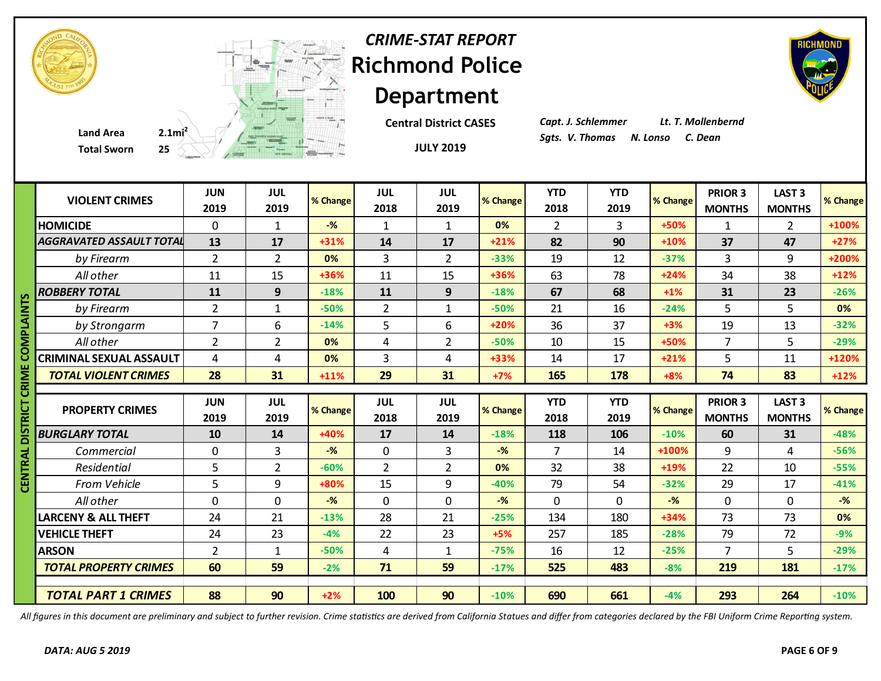|                        | <b>Total Sworn</b>              |                    | $25$ and $\frac{1}{2}$ and $\frac{1}{2}$ |          |                    | <b>JULY 2019</b>   |                |                    |                    |          |                                 |                                    |          |
|------------------------|---------------------------------|--------------------|------------------------------------------|----------|--------------------|--------------------|----------------|--------------------|--------------------|----------|---------------------------------|------------------------------------|----------|
|                        | <b>VIOLENT CRIMES</b>           | <b>JUN</b><br>2019 | <b>JUL</b><br>2019                       | % Change | <b>JUL</b><br>2018 | <b>JUL</b><br>2019 | % Change       | <b>YTD</b><br>2018 | <b>YTD</b><br>2019 | % Change | <b>PRIOR 3</b><br><b>MONTHS</b> | <b>LAST 3</b><br><b>MONTHS</b>     | % Change |
|                        | <b>HOMICIDE</b>                 | $\mathbf 0$        | $\mathbf{1}$                             | $-$ %    | $\mathbf{1}$       | $\mathbf{1}$       | 0%             | $\overline{2}$     | $\overline{3}$     | +50%     | $\mathbf{1}$                    | $\overline{2}$                     | +100%    |
|                        | <b>AGGRAVATED ASSAULT TOTAL</b> | 13                 | 17                                       | $+31%$   | 14                 | 17                 | $+21%$         | 82                 | 90                 | $+10%$   | 37                              | 47                                 | $+27%$   |
|                        | by Firearm                      | $\overline{2}$     | $\overline{2}$                           | 0%       | 3                  | $\overline{2}$     | $-33%$         | 19                 | 12                 | $-37%$   | 3                               | 9                                  | +200%    |
|                        | All other                       | 11                 | 15                                       | +36%     | 11                 | 15                 | +36%           | 63                 | 78                 | $+24%$   | 34                              | 38                                 | $+12%$   |
|                        | <b>ROBBERY TOTAL</b>            | 11                 | 9                                        | $-18%$   | 11                 | 9                  | $-18%$         | 67                 | 68                 | $+1%$    | 31                              | 23                                 | $-26%$   |
| <b>COMPLAINTS</b>      | by Firearm                      | $\overline{2}$     | 1                                        | $-50%$   | $\overline{2}$     | $\mathbf{1}$       | $-50%$         | 21                 | 16                 | $-24%$   | 5                               | 5                                  | 0%       |
|                        | by Strongarm                    | $\overline{7}$     | 6                                        | $-14%$   | 5                  | 6                  | $+20%$         | 36                 | 37                 | $+3%$    | 19                              | 13                                 | $-32%$   |
|                        | All other                       | $\overline{2}$     | $\overline{2}$                           | 0%       | 4                  | $\overline{2}$     | $-50%$         | 10                 | 15                 | +50%     | $\overline{7}$                  | 5                                  | $-29%$   |
|                        | CRIMINAL SEXUAL ASSAULT         | 4                  | 4                                        | 0%       | 3                  | 4                  | +33%           | 14                 | 17                 | $+21%$   | 5                               | 11                                 | +120%    |
|                        | <b>TOTAL VIOLENT CRIMES</b>     | 28                 | 31                                       | $+11%$   | 29                 | 31                 | $+7%$          | 165                | 178                | $+8%$    | 74                              | 83                                 | $+12%$   |
|                        |                                 |                    |                                          |          |                    |                    |                |                    |                    |          |                                 |                                    |          |
|                        | <b>PROPERTY CRIMES</b>          | <b>JUN</b><br>2019 | <b>JUL</b><br>2019                       | % Change | <b>JUL</b><br>2018 | <b>JUL</b><br>2019 | % Change       | <b>YTD</b><br>2018 | <b>YTD</b><br>2019 | % Change | PRIOR 3<br><b>MONTHS</b>        | LAST <sub>3</sub><br><b>MONTHS</b> | % Change |
|                        | <b>BURGLARY TOTAL</b>           | 10                 | 14                                       | +40%     | 17                 | 14                 | $-18%$         | 118                | 106                | $-10%$   | 60                              | 31                                 | $-48%$   |
|                        | Commercial                      | $\mathbf 0$        | $\overline{3}$                           | $-%$     | $\mathbf 0$        | 3                  | $-\frac{9}{6}$ | $\overline{7}$     | 14                 | +100%    | 9                               | 4                                  | $-56%$   |
|                        | Residential                     | 5                  | $\overline{2}$                           | $-60%$   | $\overline{2}$     | $\overline{2}$     | 0%             | 32                 | 38                 | $+19%$   | 22                              | 10                                 | $-55%$   |
| CENTRAL DISTRICT CRIME | <b>From Vehicle</b>             | 5                  | 9                                        | +80%     | 15                 | 9                  | $-40%$         | 79                 | 54                 | $-32%$   | 29                              | 17                                 | $-41%$   |
|                        | All other                       | $\mathbf 0$        | $\overline{0}$                           | $-$ %    | $\mathbf 0$        | $\mathbf 0$        | $-$ %          | $\mathbf 0$        | $\mathbf 0$        | $-$ %    | $\mathbf 0$                     | $\mathbf 0$                        | $-$ %    |
|                        | LARCENY & ALL THEFT             | 24                 | 21                                       | $-13%$   | 28                 | 21                 | $-25%$         | 134                | 180                | $+34%$   | 73                              | 73                                 | 0%       |
|                        | <b>VEHICLE THEFT</b>            | 24                 | 23                                       | $-4%$    | 22                 | 23                 | $+5%$          | 257                | 185                | $-28%$   | 79                              | 72                                 | $-9%$    |
|                        | <b>ARSON</b>                    | $\overline{2}$     | 1                                        | $-50%$   | 4                  | 1                  | $-75%$         | 16                 | 12                 | $-25%$   | $\overline{7}$                  | 5                                  | $-29%$   |
|                        | <b>TOTAL PROPERTY CRIMES</b>    | 60                 | 59                                       | $-2%$    | 71                 | 59                 | $-17%$         | 525                | 483                | $-8%$    | 219                             | 181                                | $-17%$   |
|                        | <b>TOTAL PART 1 CRIMES</b>      | 88                 | 90                                       | $+2%$    | 100                | 90                 | $-10%$         | 690                | 661                | $-4%$    | 293                             | 264                                | $-10%$   |

**Total Sworn** 



# **Richmond Police Department** *CRIME-STAT REPORT*

**JULY 2019**

**Central District CASES**

*Capt. J. Schlemmer Lt. T. Mollenbernd*

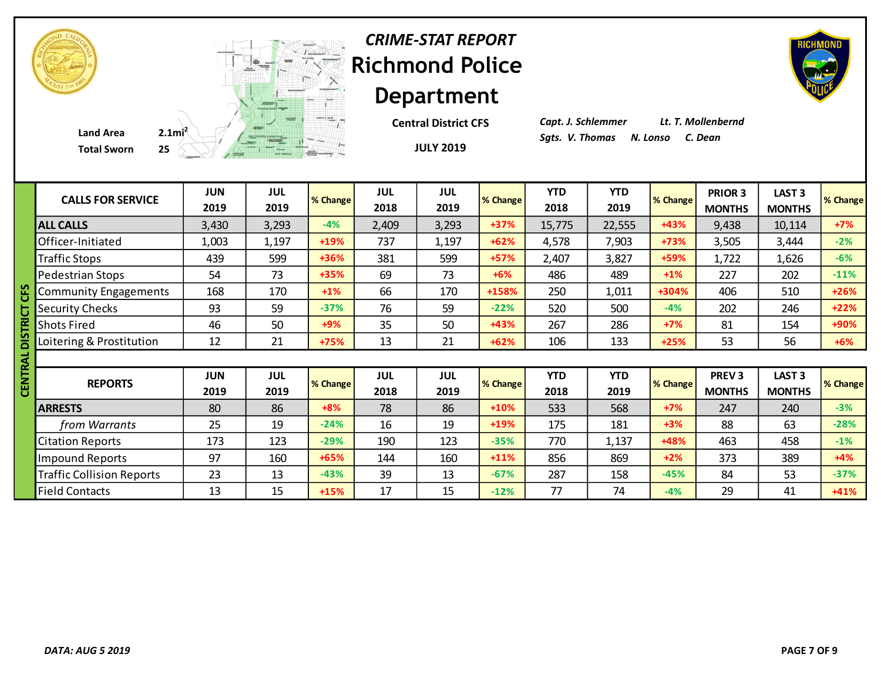**JULY 2019 Central District CFS** *Capt. J. Schlemmer Lt. T. Mollenbernd*

| <b>CALLS FOR SERVICE</b>         | <b>JUN</b><br>2019 | <b>JUL</b><br>2019 | % Change | <b>JUL</b><br>2018 | JUL<br>2019        | % Change | <b>YTD</b><br>2018 | <b>YTD</b><br>2019 | % Change | PRIOR 3<br><b>MONTHS</b>      | LAST <sub>3</sub><br><b>MONTHS</b> | <b>% Change</b> |
|----------------------------------|--------------------|--------------------|----------|--------------------|--------------------|----------|--------------------|--------------------|----------|-------------------------------|------------------------------------|-----------------|
| <b>ALL CALLS</b>                 | 3,430              | 3,293              | $-4%$    | 2,409              | 3,293              | $+37%$   | 15,775             | 22,555             | $+43%$   | 9,438                         | 10,114                             | $+7%$           |
| Officer-Initiated                | 1,003              | 1,197              | +19%     | 737                | 1,197              | $+62%$   | 4,578              | 7,903              | +73%     | 3,505                         | 3,444                              | $-2%$           |
| <b>Traffic Stops</b>             | 439                | 599                | $+36%$   | 381                | 599                | $+57%$   | 2,407              | 3,827              | +59%     | 1,722                         | 1,626                              | $-6%$           |
| Pedestrian Stops                 | 54                 | 73                 | +35%     | 69                 | 73                 | $+6%$    | 486                | 489                | $+1\%$   | 227                           | 202                                | $-11%$          |
| <b>Community Engagements</b>     | 168                | 170                | $+1%$    | 66                 | 170                | +158%    | 250                | 1,011              | +304%    | 406                           | 510                                | $+26%$          |
| <b>Security Checks</b>           | 93                 | 59                 | $-37%$   | 76                 | 59                 | $-22%$   | 520                | 500                | $-4%$    | 202                           | 246                                | $+22%$          |
| <b>Shots Fired</b>               | 46                 | 50                 | $+9%$    | 35                 | 50                 | $+43%$   | 267                | 286                | $+7%$    | 81                            | 154                                | +90%            |
| Loitering & Prostitution         | 12                 | 21                 | +75%     | 13                 | 21                 | $+62%$   | 106                | 133                | $+25%$   | 53                            | 56                                 | $+6%$           |
|                                  |                    |                    |          |                    |                    |          |                    |                    |          |                               |                                    |                 |
| <b>REPORTS</b>                   | <b>JUN</b><br>2019 | <b>JUL</b><br>2019 | % Change | <b>JUL</b><br>2018 | <b>JUL</b><br>2019 | % Change | <b>YTD</b><br>2018 | <b>YTD</b><br>2019 | % Change | <b>PREV3</b><br><b>MONTHS</b> | LAST <sub>3</sub><br><b>MONTHS</b> | % Change        |
| <b>ARRESTS</b>                   | 80                 | 86                 | $+8%$    | 78                 | 86                 | $+10%$   | 533                | 568                | $+7%$    | 247                           | 240                                | $-3%$           |
| from Warrants                    | 25                 | 19                 | $-24%$   | 16                 | 19                 | $+19%$   | 175                | 181                | $+3%$    | 88                            | 63                                 | $-28%$          |
| <b>Citation Reports</b>          | 173                | 123                | $-29%$   | 190                | 123                | $-35%$   | 770                | 1,137              | +48%     | 463                           | 458                                | $-1%$           |
| Impound Reports                  | 97                 | 160                | +65%     | 144                | 160                | $+11%$   | 856                | 869                | $+2%$    | 373                           | 389                                | $+4%$           |
| <b>Traffic Collision Reports</b> | 23                 | 13                 | $-43%$   | 39                 | 13                 | $-67%$   | 287                | 158                | $-45%$   | 84                            | 53                                 | $-37%$          |
| <b>Field Contacts</b>            | 13                 | 15                 | $+15%$   | 17                 | 15                 | $-12%$   | 77                 | 74                 | $-4%$    | 29                            | 41                                 | $+41%$          |



**Total Sworn** 

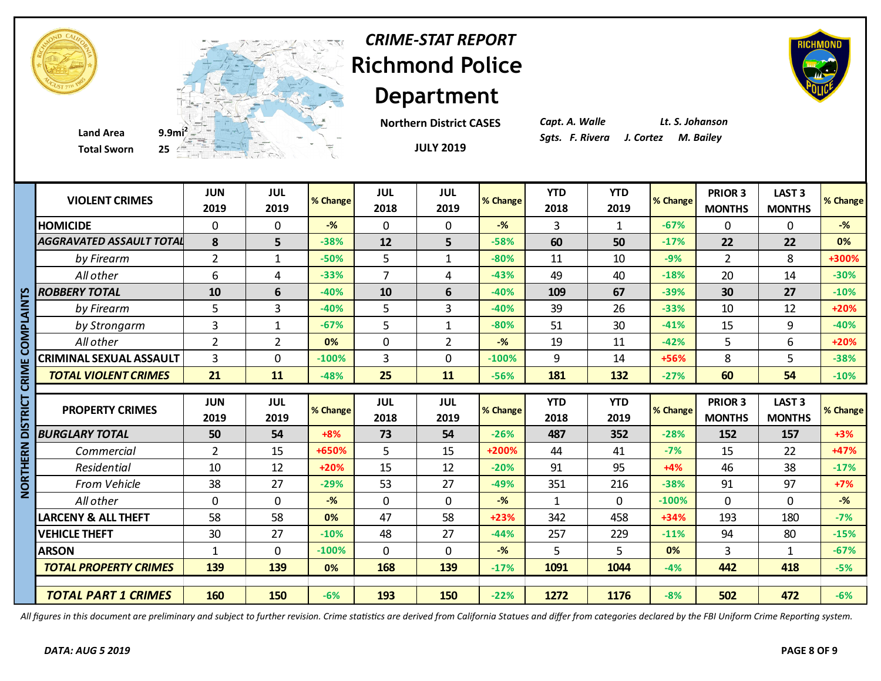



**Total Sworn 25**

**Department Northern District CASES**

**JULY 2019**

*CRIME-STAT REPORT*

*Capt. A. Walle Lt. S. Johanson*



|             | <b>VIOLENT CRIMES</b>           | <b>JUN</b><br>2019 | <b>JUL</b><br>2019 | % Change | JUL<br>2018        | JUL<br>2019        | % Change | <b>YTD</b><br>2018 | <b>YTD</b><br>2019 | % Change | PRIOR 3<br><b>MONTHS</b>        | LAST <sub>3</sub><br><b>MONTHS</b> | % Change          |
|-------------|---------------------------------|--------------------|--------------------|----------|--------------------|--------------------|----------|--------------------|--------------------|----------|---------------------------------|------------------------------------|-------------------|
|             | <b>HOMICIDE</b>                 | 0                  | $\Omega$           | $-$ %    | 0                  | $\Omega$           | $-%$     | 3                  | $\mathbf{1}$       | $-67%$   | $\Omega$                        | 0                                  | $-$ %             |
|             | <b>AGGRAVATED ASSAULT TOTAL</b> | 8                  | 5                  | $-38%$   | 12                 | 5                  | $-58%$   | 60                 | 50                 | $-17%$   | 22                              | 22                                 | 0%                |
|             | by Firearm                      | $\overline{2}$     | $\mathbf{1}$       | $-50%$   | 5                  | $\mathbf{1}$       | $-80%$   | 11                 | 10                 | $-9%$    | $\overline{2}$                  | 8                                  | +300%             |
|             | All other                       | 6                  | 4                  | $-33%$   | $\overline{7}$     | 4                  | $-43%$   | 49                 | 40                 | $-18%$   | 20                              | 14                                 | $-30%$            |
| n           | <b>ROBBERY TOTAL</b>            | 10                 | 6                  | $-40%$   | 10                 | 6                  | $-40%$   | 109                | 67                 | $-39%$   | 30                              | 27                                 | $-10%$            |
|             | by Firearm                      | 5                  | 3                  | $-40%$   | 5                  | $\overline{3}$     | $-40%$   | 39                 | 26                 | $-33%$   | 10                              | 12                                 | +20%              |
| DIALAIN     | by Strongarm                    | 3                  | $\mathbf{1}$       | $-67%$   | 5                  | $\mathbf{1}$       | $-80%$   | 51                 | 30                 | $-41%$   | 15                              | 9                                  | $-40%$            |
|             | All other                       | $\overline{2}$     | $\overline{2}$     | 0%       | $\mathbf 0$        | $\overline{2}$     | $-$ %    | 19                 | 11                 | $-42%$   | 5                               | 6                                  | +20%              |
|             | <b>CRIMINAL SEXUAL ASSAULT</b>  | $\overline{3}$     | 0                  | $-100%$  | $\overline{3}$     | $\overline{0}$     | $-100%$  | 9                  | 14                 | +56%     | 8                               | 5                                  | $-38%$            |
| <b>ZRIM</b> | <b>TOTAL VIOLENT CRIMES</b>     | 21                 | 11                 | $-48%$   | 25                 | 11                 | $-56%$   | 181                | 132                | $-27%$   | 60                              | 54                                 | $-10%$            |
|             |                                 |                    |                    |          |                    |                    |          |                    |                    |          |                                 |                                    |                   |
|             |                                 |                    |                    |          |                    |                    |          |                    |                    |          |                                 |                                    |                   |
| ים<br>≊     | <b>PROPERTY CRIMES</b>          | <b>JUN</b><br>2019 | <b>JUL</b><br>2019 | % Change | <b>JUL</b><br>2018 | <b>JUL</b><br>2019 | % Change | <b>YTD</b><br>2018 | <b>YTD</b><br>2019 | % Change | <b>PRIOR 3</b><br><b>MONTHS</b> | LAST <sub>3</sub><br><b>MONTHS</b> |                   |
|             | <b>BURGLARY TOTAL</b>           | 50                 | 54                 | $+8%$    | 73                 | 54                 | $-26%$   | 487                | 352                | $-28%$   | 152                             | 157                                | $+3%$             |
|             | Commercial                      | $\overline{2}$     | 15                 | +650%    | 5                  | 15                 | +200%    | 44                 | 41                 | $-7%$    | 15                              | 22                                 | +47%              |
| ERN<br>론    | Residential                     | 10                 | 12                 | $+20%$   | 15                 | 12                 | $-20%$   | 91                 | 95                 | $+4%$    | 46                              | 38                                 | $-17%$            |
|             | <b>From Vehicle</b>             | 38                 | 27                 | $-29%$   | 53                 | 27                 | $-49%$   | 351                | 216                | $-38%$   | 91                              | 97                                 | $+7%$             |
| <b>NORT</b> | All other                       | 0                  | $\Omega$           | $-$ %    | $\mathbf 0$        | $\mathbf 0$        | $-$ %    | $\mathbf{1}$       | $\Omega$           | $-100%$  | $\mathbf 0$                     | 0                                  | $-$ %             |
|             | <b>LARCENY &amp; ALL THEFT</b>  | 58                 | 58                 | 0%       | 47                 | 58                 | $+23%$   | 342                | 458                | $+34%$   | 193                             | 180                                | $-7%$             |
|             | <b>VEHICLE THEFT</b>            | 30                 | 27                 | $-10%$   | 48                 | 27                 | $-44%$   | 257                | 229                | $-11%$   | 94                              | 80                                 | $-15%$            |
|             | <b>ARSON</b>                    | 1                  | $\mathbf 0$        | $-100%$  | $\mathbf 0$        | $\mathbf 0$        | $-%$     | 5                  | 5                  | 0%       | 3                               | 1                                  | $-67%$            |
|             | <b>TOTAL PROPERTY CRIMES</b>    | 139                | 139                | 0%       | 168                | 139                | $-17%$   | 1091               | 1044               | $-4%$    | 442                             | 418                                | % Change<br>$-5%$ |

*All figures in this document are preliminary and subject to further revision. Crime statistics are derived from California Statues and differ from categories declared by the FBI Uniform Crime Reporting system.*